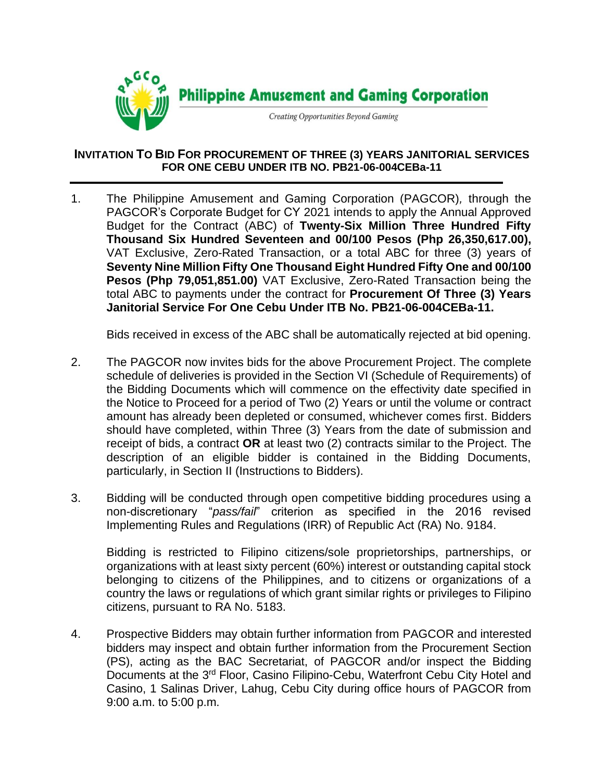

## **INVITATION TO BID FOR PROCUREMENT OF THREE (3) YEARS JANITORIAL SERVICES FOR ONE CEBU UNDER ITB NO. PB21-06-004CEBa-11**

1. The Philippine Amusement and Gaming Corporation (PAGCOR)*,* through the PAGCOR's Corporate Budget for CY 2021 intends to apply the Annual Approved Budget for the Contract (ABC) of **Twenty-Six Million Three Hundred Fifty Thousand Six Hundred Seventeen and 00/100 Pesos (Php 26,350,617.00),**  VAT Exclusive, Zero-Rated Transaction, or a total ABC for three (3) years of **Seventy Nine Million Fifty One Thousand Eight Hundred Fifty One and 00/100 Pesos (Php 79,051,851.00)** VAT Exclusive, Zero-Rated Transaction being the total ABC to payments under the contract for **Procurement Of Three (3) Years Janitorial Service For One Cebu Under ITB No. PB21-06-004CEBa-11.**

Bids received in excess of the ABC shall be automatically rejected at bid opening.

- 2. The PAGCOR now invites bids for the above Procurement Project. The complete schedule of deliveries is provided in the Section VI (Schedule of Requirements) of the Bidding Documents which will commence on the effectivity date specified in the Notice to Proceed for a period of Two (2) Years or until the volume or contract amount has already been depleted or consumed, whichever comes first. Bidders should have completed, within Three (3) Years from the date of submission and receipt of bids, a contract **OR** at least two (2) contracts similar to the Project. The description of an eligible bidder is contained in the Bidding Documents, particularly, in Section II (Instructions to Bidders).
- 3. Bidding will be conducted through open competitive bidding procedures using a non-discretionary "*pass/fail*" criterion as specified in the 2016 revised Implementing Rules and Regulations (IRR) of Republic Act (RA) No. 9184.

Bidding is restricted to Filipino citizens/sole proprietorships, partnerships, or organizations with at least sixty percent (60%) interest or outstanding capital stock belonging to citizens of the Philippines, and to citizens or organizations of a country the laws or regulations of which grant similar rights or privileges to Filipino citizens, pursuant to RA No. 5183.

4. Prospective Bidders may obtain further information from PAGCOR and interested bidders may inspect and obtain further information from the Procurement Section (PS), acting as the BAC Secretariat, of PAGCOR and/or inspect the Bidding Documents at the 3<sup>rd</sup> Floor, Casino Filipino-Cebu, Waterfront Cebu City Hotel and Casino, 1 Salinas Driver, Lahug, Cebu City during office hours of PAGCOR from 9:00 a.m. to 5:00 p.m.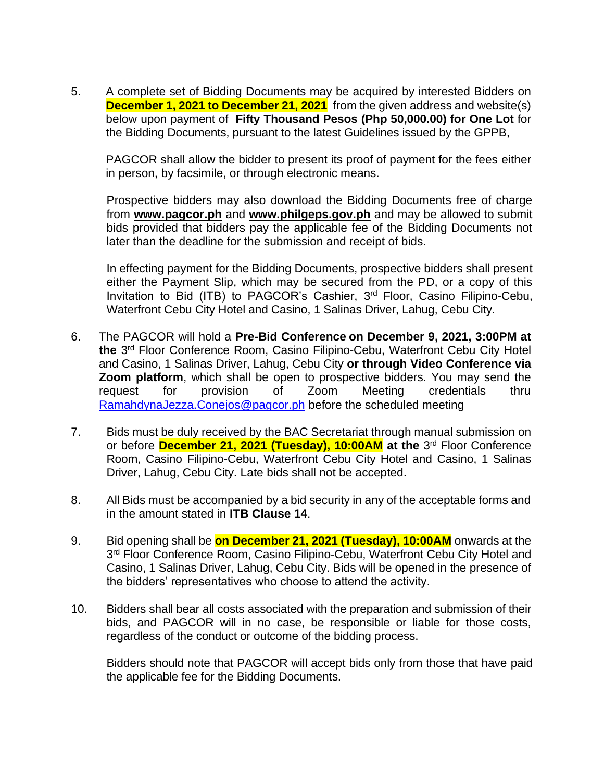5. A complete set of Bidding Documents may be acquired by interested Bidders on **December 1, 2021 to December 21, 2021** from the given address and website(s) below upon payment of **Fifty Thousand Pesos (Php 50,000.00) for One Lot** for the Bidding Documents, pursuant to the latest Guidelines issued by the GPPB,

PAGCOR shall allow the bidder to present its proof of payment for the fees either in person, by facsimile, or through electronic means.

Prospective bidders may also download the Bidding Documents free of charge from **[www.pagcor.ph](http://www.pagcor.ph/)** and **www.philgeps.gov.ph** and may be allowed to submit bids provided that bidders pay the applicable fee of the Bidding Documents not later than the deadline for the submission and receipt of bids.

In effecting payment for the Bidding Documents, prospective bidders shall present either the Payment Slip, which may be secured from the PD, or a copy of this Invitation to Bid (ITB) to PAGCOR's Cashier, 3<sup>rd</sup> Floor, Casino Filipino-Cebu, Waterfront Cebu City Hotel and Casino, 1 Salinas Driver, Lahug, Cebu City.

- 6. The PAGCOR will hold a **Pre-Bid Conference on December 9, 2021, 3:00PM at the** 3 rd Floor Conference Room, Casino Filipino-Cebu, Waterfront Cebu City Hotel and Casino, 1 Salinas Driver, Lahug, Cebu City **or through Video Conference via Zoom platform**, which shall be open to prospective bidders. You may send the request for provision of Zoom Meeting credentials thru [RamahdynaJezza.Conejos@pagcor.ph](mailto:RamahdynaJezza.Conejos@pagcor.ph) before the scheduled meeting
- 7. Bids must be duly received by the BAC Secretariat through manual submission on or before **December 21, 2021 (Tuesday), 10:00AM** at the 3<sup>rd</sup> Floor Conference Room, Casino Filipino-Cebu, Waterfront Cebu City Hotel and Casino, 1 Salinas Driver, Lahug, Cebu City. Late bids shall not be accepted.
- 8. All Bids must be accompanied by a bid security in any of the acceptable forms and in the amount stated in **ITB Clause 14**.
- 9. Bid opening shall be **on December 21, 2021 (Tuesday), 10:00AM** onwards at the 3<sup>rd</sup> Floor Conference Room, Casino Filipino-Cebu, Waterfront Cebu City Hotel and Casino, 1 Salinas Driver, Lahug, Cebu City. Bids will be opened in the presence of the bidders' representatives who choose to attend the activity.
- 10. Bidders shall bear all costs associated with the preparation and submission of their bids, and PAGCOR will in no case, be responsible or liable for those costs, regardless of the conduct or outcome of the bidding process.

Bidders should note that PAGCOR will accept bids only from those that have paid the applicable fee for the Bidding Documents.